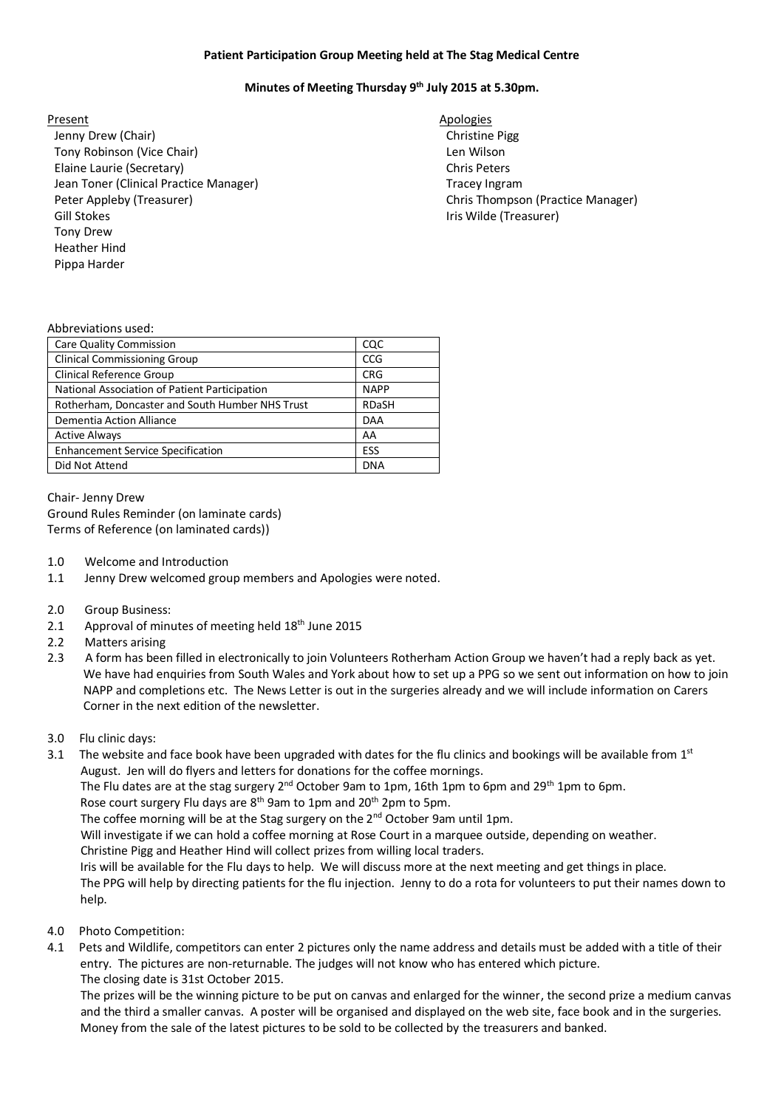## **Patient Participation Group Meeting held at The Stag Medical Centre**

## **Minutes of Meeting Thursday 9 th July 2015 at 5.30pm.**

Jenny Drew (Chair) **Christian Christian Christian Christian Christian Christian Christian Christian Christian Christian Pigg** Tony Robinson (Vice Chair) Len Wilson Elaine Laurie (Secretary) Jean Toner (Clinical Practice Manager) Peter Appleby (Treasurer) The Chris Thompson (Practice Manager) Chris Thompson (Practice Manager) Gill Stokes **International Community** Community Community Community Community Community Community Community Community Community Community Community Community Community Community Community Community Community Community Comm Tony Drew Heather Hind Pippa Harder

Present Apologies **Apologies** Chris Peters Tracey Ingram

### Abbreviations used:

| <b>Care Quality Commission</b>                  | CQC          |
|-------------------------------------------------|--------------|
| <b>Clinical Commissioning Group</b>             | CCG          |
| Clinical Reference Group                        | <b>CRG</b>   |
| National Association of Patient Participation   | <b>NAPP</b>  |
| Rotherham, Doncaster and South Humber NHS Trust | <b>RDaSH</b> |
| Dementia Action Alliance                        | <b>DAA</b>   |
| <b>Active Always</b>                            | AA           |
| <b>Enhancement Service Specification</b>        | ESS          |
| Did Not Attend                                  | <b>DNA</b>   |
|                                                 |              |

Chair- Jenny Drew Ground Rules Reminder (on laminate cards) Terms of Reference (on laminated cards))

- 1.0 Welcome and Introduction
- 1.1 Jenny Drew welcomed group members and Apologies were noted.
- 2.0 Group Business:
- 2.1 Approval of minutes of meeting held 18<sup>th</sup> June 2015
- 2.2 Matters arising
- 2.3 A form has been filled in electronically to join Volunteers Rotherham Action Group we haven't had a reply back as yet. We have had enquiries from South Wales and York about how to set up a PPG so we sent out information on how to join NAPP and completions etc. The News Letter is out in the surgeries already and we will include information on Carers Corner in the next edition of the newsletter.
- 3.0 Flu clinic days:
- 3.1 The website and face book have been upgraded with dates for the flu clinics and bookings will be available from 1st August. Jen will do flyers and letters for donations for the coffee mornings.

The Flu dates are at the stag surgery 2<sup>nd</sup> October 9am to 1pm, 16th 1pm to 6pm and 29<sup>th</sup> 1pm to 6pm.

Rose court surgery Flu days are 8<sup>th</sup> 9am to 1pm and 20<sup>th</sup> 2pm to 5pm.

The coffee morning will be at the Stag surgery on the 2<sup>nd</sup> October 9am until 1pm.

Will investigate if we can hold a coffee morning at Rose Court in a marquee outside, depending on weather.

Christine Pigg and Heather Hind will collect prizes from willing local traders.

Iris will be available for the Flu days to help. We will discuss more at the next meeting and get things in place.

 The PPG will help by directing patients for the flu injection. Jenny to do a rota for volunteers to put their names down to help.

- 4.0 Photo Competition:
- 4.1 Pets and Wildlife, competitors can enter 2 pictures only the name address and details must be added with a title of their entry. The pictures are non-returnable. The judges will not know who has entered which picture. The closing date is 31st October 2015.

 The prizes will be the winning picture to be put on canvas and enlarged for the winner, the second prize a medium canvas and the third a smaller canvas. A poster will be organised and displayed on the web site, face book and in the surgeries. Money from the sale of the latest pictures to be sold to be collected by the treasurers and banked.